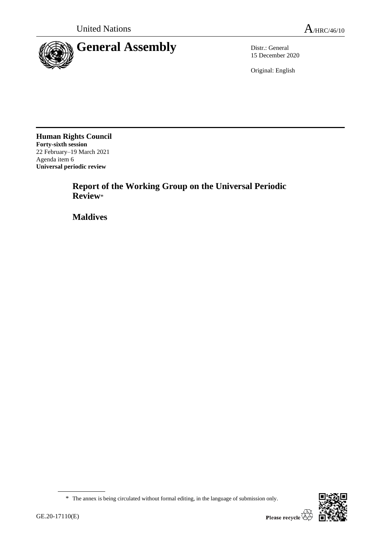

15 December 2020

Original: English

**Human Rights Council Forty-sixth session** 22 February–19 March 2021 Agenda item 6 **Universal periodic review**

> **Report of the Working Group on the Universal Periodic Review**\*

**Maldives**



<sup>\*</sup> The annex is being circulated without formal editing, in the language of submission only.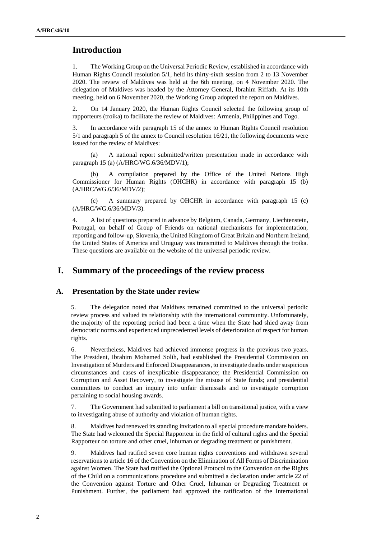# **Introduction**

1. The Working Group on the Universal Periodic Review, established in accordance with Human Rights Council resolution 5/1, held its thirty-sixth session from 2 to 13 November 2020. The review of Maldives was held at the 6th meeting, on 4 November 2020. The delegation of Maldives was headed by the Attorney General, Ibrahim Riffath. At its 10th meeting, held on 6 November 2020, the Working Group adopted the report on Maldives.

2. On 14 January 2020, the Human Rights Council selected the following group of rapporteurs (troika) to facilitate the review of Maldives: Armenia, Philippines and Togo.

3. In accordance with paragraph 15 of the annex to Human Rights Council resolution 5/1 and paragraph 5 of the annex to Council resolution 16/21, the following documents were issued for the review of Maldives:

(a) A national report submitted/written presentation made in accordance with paragraph 15 (a) (A/HRC/WG.6/36/MDV/1);

(b) A compilation prepared by the Office of the United Nations High Commissioner for Human Rights (OHCHR) in accordance with paragraph 15 (b) (A/HRC/WG.6/36/MDV/2);

(c) A summary prepared by OHCHR in accordance with paragraph 15 (c) (A/HRC/WG.6/36/MDV/3).

4. A list of questions prepared in advance by Belgium, Canada, Germany, Liechtenstein, Portugal, on behalf of Group of Friends on national mechanisms for implementation, reporting and follow-up, Slovenia, the United Kingdom of Great Britain and Northern Ireland, the United States of America and Uruguay was transmitted to Maldives through the troika. These questions are available on the website of the universal periodic review.

# **I. Summary of the proceedings of the review process**

#### **A. Presentation by the State under review**

5. The delegation noted that Maldives remained committed to the universal periodic review process and valued its relationship with the international community. Unfortunately, the majority of the reporting period had been a time when the State had shied away from democratic norms and experienced unprecedented levels of deterioration of respect for human rights.

6. Nevertheless, Maldives had achieved immense progress in the previous two years. The President, Ibrahim Mohamed Solih, had established the Presidential Commission on Investigation of Murders and Enforced Disappearances, to investigate deaths under suspicious circumstances and cases of inexplicable disappearance; the Presidential Commission on Corruption and Asset Recovery, to investigate the misuse of State funds; and presidential committees to conduct an inquiry into unfair dismissals and to investigate corruption pertaining to social housing awards.

7. The Government had submitted to parliament a bill on transitional justice, with a view to investigating abuse of authority and violation of human rights.

8. Maldives had renewed its standing invitation to all special procedure mandate holders. The State had welcomed the Special Rapporteur in the field of cultural rights and the Special Rapporteur on torture and other cruel, inhuman or degrading treatment or punishment.

9. Maldives had ratified seven core human rights conventions and withdrawn several reservations to article 16 of the Convention on the Elimination of All Forms of Discrimination against Women. The State had ratified the Optional Protocol to the Convention on the Rights of the Child on a communications procedure and submitted a declaration under article 22 of the Convention against Torture and Other Cruel, Inhuman or Degrading Treatment or Punishment. Further, the parliament had approved the ratification of the International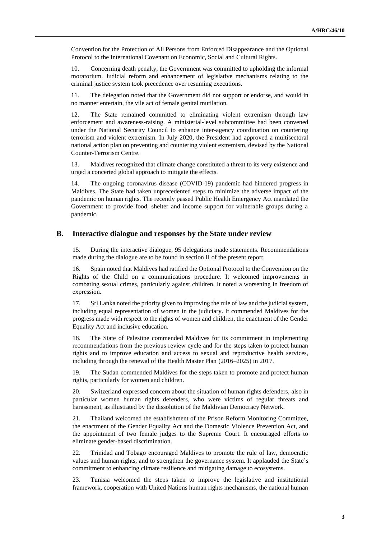Convention for the Protection of All Persons from Enforced Disappearance and the Optional Protocol to the International Covenant on Economic, Social and Cultural Rights.

10. Concerning death penalty, the Government was committed to upholding the informal moratorium. Judicial reform and enhancement of legislative mechanisms relating to the criminal justice system took precedence over resuming executions.

11. The delegation noted that the Government did not support or endorse, and would in no manner entertain, the vile act of female genital mutilation.

12. The State remained committed to eliminating violent extremism through law enforcement and awareness-raising. A ministerial-level subcommittee had been convened under the National Security Council to enhance inter-agency coordination on countering terrorism and violent extremism. In July 2020, the President had approved a multisectoral national action plan on preventing and countering violent extremism, devised by the National Counter-Terrorism Centre.

13. Maldives recognized that climate change constituted a threat to its very existence and urged a concerted global approach to mitigate the effects.

14. The ongoing coronavirus disease (COVID-19) pandemic had hindered progress in Maldives. The State had taken unprecedented steps to minimize the adverse impact of the pandemic on human rights. The recently passed Public Health Emergency Act mandated the Government to provide food, shelter and income support for vulnerable groups during a pandemic.

#### **B. Interactive dialogue and responses by the State under review**

15. During the interactive dialogue, 95 delegations made statements. Recommendations made during the dialogue are to be found in section II of the present report.

16. Spain noted that Maldives had ratified the Optional Protocol to the Convention on the Rights of the Child on a communications procedure. It welcomed improvements in combating sexual crimes, particularly against children. It noted a worsening in freedom of expression.

17. Sri Lanka noted the priority given to improving the rule of law and the judicial system, including equal representation of women in the judiciary. It commended Maldives for the progress made with respect to the rights of women and children, the enactment of the Gender Equality Act and inclusive education.

18. The State of Palestine commended Maldives for its commitment in implementing recommendations from the previous review cycle and for the steps taken to protect human rights and to improve education and access to sexual and reproductive health services, including through the renewal of the Health Master Plan (2016–2025) in 2017.

19. The Sudan commended Maldives for the steps taken to promote and protect human rights, particularly for women and children.

20. Switzerland expressed concern about the situation of human rights defenders, also in particular women human rights defenders, who were victims of regular threats and harassment, as illustrated by the dissolution of the Maldivian Democracy Network.

21. Thailand welcomed the establishment of the Prison Reform Monitoring Committee, the enactment of the Gender Equality Act and the Domestic Violence Prevention Act, and the appointment of two female judges to the Supreme Court. It encouraged efforts to eliminate gender-based discrimination.

22. Trinidad and Tobago encouraged Maldives to promote the rule of law, democratic values and human rights, and to strengthen the governance system. It applauded the State's commitment to enhancing climate resilience and mitigating damage to ecosystems.

23. Tunisia welcomed the steps taken to improve the legislative and institutional framework, cooperation with United Nations human rights mechanisms, the national human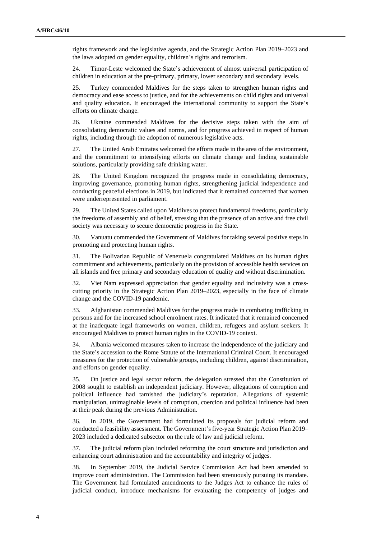rights framework and the legislative agenda, and the Strategic Action Plan 2019–2023 and the laws adopted on gender equality, children's rights and terrorism.

24. Timor-Leste welcomed the State's achievement of almost universal participation of children in education at the pre-primary, primary, lower secondary and secondary levels.

25. Turkey commended Maldives for the steps taken to strengthen human rights and democracy and ease access to justice, and for the achievements on child rights and universal and quality education. It encouraged the international community to support the State's efforts on climate change.

26. Ukraine commended Maldives for the decisive steps taken with the aim of consolidating democratic values and norms, and for progress achieved in respect of human rights, including through the adoption of numerous legislative acts.

27. The United Arab Emirates welcomed the efforts made in the area of the environment, and the commitment to intensifying efforts on climate change and finding sustainable solutions, particularly providing safe drinking water.

28. The United Kingdom recognized the progress made in consolidating democracy, improving governance, promoting human rights, strengthening judicial independence and conducting peaceful elections in 2019, but indicated that it remained concerned that women were underrepresented in parliament.

29. The United States called upon Maldives to protect fundamental freedoms, particularly the freedoms of assembly and of belief, stressing that the presence of an active and free civil society was necessary to secure democratic progress in the State.

30. Vanuatu commended the Government of Maldives for taking several positive steps in promoting and protecting human rights.

31. The Bolivarian Republic of Venezuela congratulated Maldives on its human rights commitment and achievements, particularly on the provision of accessible health services on all islands and free primary and secondary education of quality and without discrimination.

32. Viet Nam expressed appreciation that gender equality and inclusivity was a crosscutting priority in the Strategic Action Plan 2019–2023, especially in the face of climate change and the COVID-19 pandemic.

33. Afghanistan commended Maldives for the progress made in combating trafficking in persons and for the increased school enrolment rates. It indicated that it remained concerned at the inadequate legal frameworks on women, children, refugees and asylum seekers. It encouraged Maldives to protect human rights in the COVID-19 context.

34. Albania welcomed measures taken to increase the independence of the judiciary and the State's accession to the Rome Statute of the International Criminal Court. It encouraged measures for the protection of vulnerable groups, including children, against discrimination, and efforts on gender equality.

35. On justice and legal sector reform, the delegation stressed that the Constitution of 2008 sought to establish an independent judiciary. However, allegations of corruption and political influence had tarnished the judiciary's reputation. Allegations of systemic manipulation, unimaginable levels of corruption, coercion and political influence had been at their peak during the previous Administration.

36. In 2019, the Government had formulated its proposals for judicial reform and conducted a feasibility assessment. The Government's five-year Strategic Action Plan 2019– 2023 included a dedicated subsector on the rule of law and judicial reform.

37. The judicial reform plan included reforming the court structure and jurisdiction and enhancing court administration and the accountability and integrity of judges.

38. In September 2019, the Judicial Service Commission Act had been amended to improve court administration. The Commission had been strenuously pursuing its mandate. The Government had formulated amendments to the Judges Act to enhance the rules of judicial conduct, introduce mechanisms for evaluating the competency of judges and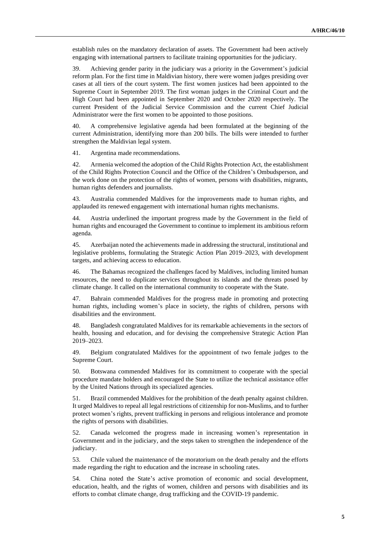establish rules on the mandatory declaration of assets. The Government had been actively engaging with international partners to facilitate training opportunities for the judiciary.

39. Achieving gender parity in the judiciary was a priority in the Government's judicial reform plan. For the first time in Maldivian history, there were women judges presiding over cases at all tiers of the court system. The first women justices had been appointed to the Supreme Court in September 2019. The first woman judges in the Criminal Court and the High Court had been appointed in September 2020 and October 2020 respectively. The current President of the Judicial Service Commission and the current Chief Judicial Administrator were the first women to be appointed to those positions.

40. A comprehensive legislative agenda had been formulated at the beginning of the current Administration, identifying more than 200 bills. The bills were intended to further strengthen the Maldivian legal system.

41. Argentina made recommendations.

42. Armenia welcomed the adoption of the Child Rights Protection Act, the establishment of the Child Rights Protection Council and the Office of the Children's Ombudsperson, and the work done on the protection of the rights of women, persons with disabilities, migrants, human rights defenders and journalists.

43. Australia commended Maldives for the improvements made to human rights, and applauded its renewed engagement with international human rights mechanisms.

44. Austria underlined the important progress made by the Government in the field of human rights and encouraged the Government to continue to implement its ambitious reform agenda.

45. Azerbaijan noted the achievements made in addressing the structural, institutional and legislative problems, formulating the Strategic Action Plan 2019–2023, with development targets, and achieving access to education.

46. The Bahamas recognized the challenges faced by Maldives, including limited human resources, the need to duplicate services throughout its islands and the threats posed by climate change. It called on the international community to cooperate with the State.

47. Bahrain commended Maldives for the progress made in promoting and protecting human rights, including women's place in society, the rights of children, persons with disabilities and the environment.

48. Bangladesh congratulated Maldives for its remarkable achievements in the sectors of health, housing and education, and for devising the comprehensive Strategic Action Plan 2019–2023.

49. Belgium congratulated Maldives for the appointment of two female judges to the Supreme Court.

50. Botswana commended Maldives for its commitment to cooperate with the special procedure mandate holders and encouraged the State to utilize the technical assistance offer by the United Nations through its specialized agencies.

51. Brazil commended Maldives for the prohibition of the death penalty against children. It urged Maldives to repeal all legal restrictions of citizenship for non-Muslims, and to further protect women's rights, prevent trafficking in persons and religious intolerance and promote the rights of persons with disabilities.

52. Canada welcomed the progress made in increasing women's representation in Government and in the judiciary, and the steps taken to strengthen the independence of the judiciary.

53. Chile valued the maintenance of the moratorium on the death penalty and the efforts made regarding the right to education and the increase in schooling rates.

54. China noted the State's active promotion of economic and social development, education, health, and the rights of women, children and persons with disabilities and its efforts to combat climate change, drug trafficking and the COVID-19 pandemic.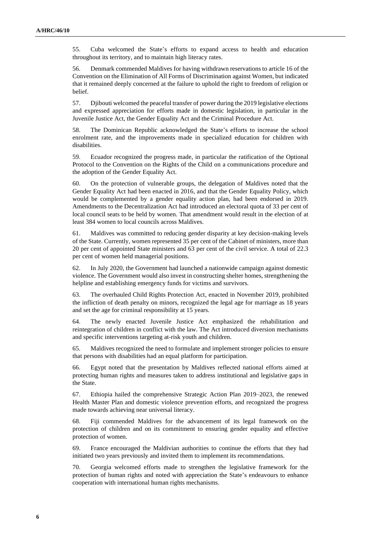55. Cuba welcomed the State's efforts to expand access to health and education throughout its territory, and to maintain high literacy rates.

56. Denmark commended Maldives for having withdrawn reservations to article 16 of the Convention on the Elimination of All Forms of Discrimination against Women, but indicated that it remained deeply concerned at the failure to uphold the right to freedom of religion or belief.

57. Djibouti welcomed the peaceful transfer of power during the 2019 legislative elections and expressed appreciation for efforts made in domestic legislation, in particular in the Juvenile Justice Act, the Gender Equality Act and the Criminal Procedure Act.

58. The Dominican Republic acknowledged the State's efforts to increase the school enrolment rate, and the improvements made in specialized education for children with disabilities.

59. Ecuador recognized the progress made, in particular the ratification of the Optional Protocol to the Convention on the Rights of the Child on a communications procedure and the adoption of the Gender Equality Act.

60. On the protection of vulnerable groups, the delegation of Maldives noted that the Gender Equality Act had been enacted in 2016, and that the Gender Equality Policy, which would be complemented by a gender equality action plan, had been endorsed in 2019. Amendments to the Decentralization Act had introduced an electoral quota of 33 per cent of local council seats to be held by women. That amendment would result in the election of at least 384 women to local councils across Maldives.

61. Maldives was committed to reducing gender disparity at key decision-making levels of the State. Currently, women represented 35 per cent of the Cabinet of ministers, more than 20 per cent of appointed State ministers and 63 per cent of the civil service. A total of 22.3 per cent of women held managerial positions.

62. In July 2020, the Government had launched a nationwide campaign against domestic violence. The Government would also invest in constructing shelter homes, strengthening the helpline and establishing emergency funds for victims and survivors.

63. The overhauled Child Rights Protection Act, enacted in November 2019, prohibited the infliction of death penalty on minors, recognized the legal age for marriage as 18 years and set the age for criminal responsibility at 15 years.

64. The newly enacted Juvenile Justice Act emphasized the rehabilitation and reintegration of children in conflict with the law. The Act introduced diversion mechanisms and specific interventions targeting at-risk youth and children.

65. Maldives recognized the need to formulate and implement stronger policies to ensure that persons with disabilities had an equal platform for participation.

66. Egypt noted that the presentation by Maldives reflected national efforts aimed at protecting human rights and measures taken to address institutional and legislative gaps in the State.

67. Ethiopia hailed the comprehensive Strategic Action Plan 2019–2023, the renewed Health Master Plan and domestic violence prevention efforts, and recognized the progress made towards achieving near universal literacy.

68. Fiji commended Maldives for the advancement of its legal framework on the protection of children and on its commitment to ensuring gender equality and effective protection of women.

69. France encouraged the Maldivian authorities to continue the efforts that they had initiated two years previously and invited them to implement its recommendations.

70. Georgia welcomed efforts made to strengthen the legislative framework for the protection of human rights and noted with appreciation the State's endeavours to enhance cooperation with international human rights mechanisms.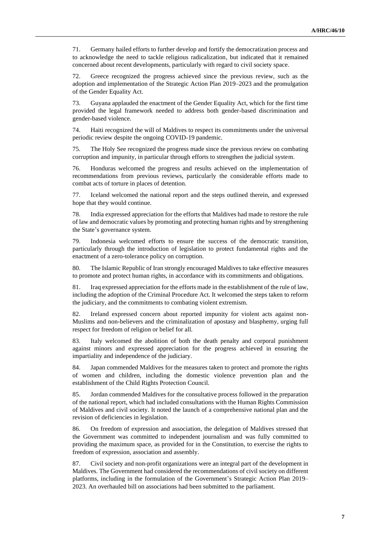71. Germany hailed efforts to further develop and fortify the democratization process and to acknowledge the need to tackle religious radicalization, but indicated that it remained concerned about recent developments, particularly with regard to civil society space.

72. Greece recognized the progress achieved since the previous review, such as the adoption and implementation of the Strategic Action Plan 2019–2023 and the promulgation of the Gender Equality Act.

73. Guyana applauded the enactment of the Gender Equality Act, which for the first time provided the legal framework needed to address both gender-based discrimination and gender-based violence.

74. Haiti recognized the will of Maldives to respect its commitments under the universal periodic review despite the ongoing COVID-19 pandemic.

75. The Holy See recognized the progress made since the previous review on combating corruption and impunity, in particular through efforts to strengthen the judicial system.

76. Honduras welcomed the progress and results achieved on the implementation of recommendations from previous reviews, particularly the considerable efforts made to combat acts of torture in places of detention.

77. Iceland welcomed the national report and the steps outlined therein, and expressed hope that they would continue.

78. India expressed appreciation for the efforts that Maldives had made to restore the rule of law and democratic values by promoting and protecting human rights and by strengthening the State's governance system.

79. Indonesia welcomed efforts to ensure the success of the democratic transition, particularly through the introduction of legislation to protect fundamental rights and the enactment of a zero-tolerance policy on corruption.

80. The Islamic Republic of Iran strongly encouraged Maldives to take effective measures to promote and protect human rights, in accordance with its commitments and obligations.

81. Iraq expressed appreciation for the efforts made in the establishment of the rule of law, including the adoption of the Criminal Procedure Act. It welcomed the steps taken to reform the judiciary, and the commitments to combating violent extremism.

82. Ireland expressed concern about reported impunity for violent acts against non-Muslims and non-believers and the criminalization of apostasy and blasphemy, urging full respect for freedom of religion or belief for all.

83. Italy welcomed the abolition of both the death penalty and corporal punishment against minors and expressed appreciation for the progress achieved in ensuring the impartiality and independence of the judiciary.

84. Japan commended Maldives for the measures taken to protect and promote the rights of women and children, including the domestic violence prevention plan and the establishment of the Child Rights Protection Council.

85. Jordan commended Maldives for the consultative process followed in the preparation of the national report, which had included consultations with the Human Rights Commission of Maldives and civil society. It noted the launch of a comprehensive national plan and the revision of deficiencies in legislation.

86. On freedom of expression and association, the delegation of Maldives stressed that the Government was committed to independent journalism and was fully committed to providing the maximum space, as provided for in the Constitution, to exercise the rights to freedom of expression, association and assembly.

87. Civil society and non-profit organizations were an integral part of the development in Maldives. The Government had considered the recommendations of civil society on different platforms, including in the formulation of the Government's Strategic Action Plan 2019– 2023. An overhauled bill on associations had been submitted to the parliament.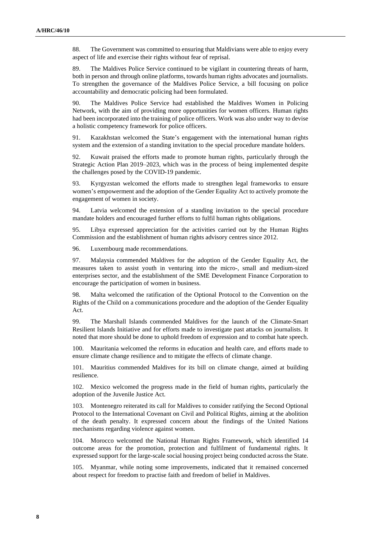88. The Government was committed to ensuring that Maldivians were able to enjoy every aspect of life and exercise their rights without fear of reprisal.

89. The Maldives Police Service continued to be vigilant in countering threats of harm, both in person and through online platforms, towards human rights advocates and journalists. To strengthen the governance of the Maldives Police Service, a bill focusing on police accountability and democratic policing had been formulated.

90. The Maldives Police Service had established the Maldives Women in Policing Network, with the aim of providing more opportunities for women officers. Human rights had been incorporated into the training of police officers. Work was also under way to devise a holistic competency framework for police officers.

91. Kazakhstan welcomed the State's engagement with the international human rights system and the extension of a standing invitation to the special procedure mandate holders.

92. Kuwait praised the efforts made to promote human rights, particularly through the Strategic Action Plan 2019–2023, which was in the process of being implemented despite the challenges posed by the COVID-19 pandemic.

93. Kyrgyzstan welcomed the efforts made to strengthen legal frameworks to ensure women's empowerment and the adoption of the Gender Equality Act to actively promote the engagement of women in society.

94. Latvia welcomed the extension of a standing invitation to the special procedure mandate holders and encouraged further efforts to fulfil human rights obligations.

95. Libya expressed appreciation for the activities carried out by the Human Rights Commission and the establishment of human rights advisory centres since 2012.

96. Luxembourg made recommendations.

97. Malaysia commended Maldives for the adoption of the Gender Equality Act, the measures taken to assist youth in venturing into the micro-, small and medium-sized enterprises sector, and the establishment of the SME Development Finance Corporation to encourage the participation of women in business.

98. Malta welcomed the ratification of the Optional Protocol to the Convention on the Rights of the Child on a communications procedure and the adoption of the Gender Equality Act.

99. The Marshall Islands commended Maldives for the launch of the Climate-Smart Resilient Islands Initiative and for efforts made to investigate past attacks on journalists. It noted that more should be done to uphold freedom of expression and to combat hate speech.

100. Mauritania welcomed the reforms in education and health care, and efforts made to ensure climate change resilience and to mitigate the effects of climate change.

101. Mauritius commended Maldives for its bill on climate change, aimed at building resilience.

102. Mexico welcomed the progress made in the field of human rights, particularly the adoption of the Juvenile Justice Act.

103. Montenegro reiterated its call for Maldives to consider ratifying the Second Optional Protocol to the International Covenant on Civil and Political Rights, aiming at the abolition of the death penalty. It expressed concern about the findings of the United Nations mechanisms regarding violence against women.

104. Morocco welcomed the National Human Rights Framework, which identified 14 outcome areas for the promotion, protection and fulfilment of fundamental rights. It expressed support for the large-scale social housing project being conducted across the State.

105. Myanmar, while noting some improvements, indicated that it remained concerned about respect for freedom to practise faith and freedom of belief in Maldives.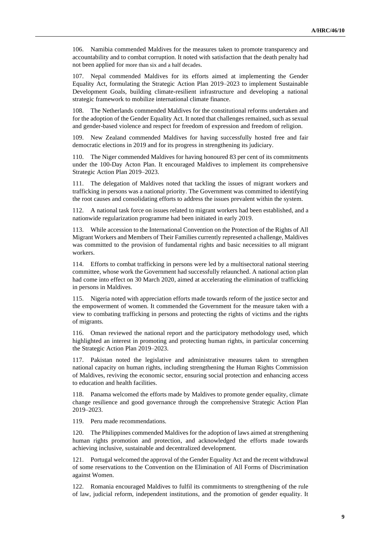106. Namibia commended Maldives for the measures taken to promote transparency and accountability and to combat corruption. It noted with satisfaction that the death penalty had not been applied for more than six and a half decades.

107. Nepal commended Maldives for its efforts aimed at implementing the Gender Equality Act, formulating the Strategic Action Plan 2019–2023 to implement Sustainable Development Goals, building climate-resilient infrastructure and developing a national strategic framework to mobilize international climate finance.

108. The Netherlands commended Maldives for the constitutional reforms undertaken and for the adoption of the Gender Equality Act. It noted that challenges remained, such as sexual and gender-based violence and respect for freedom of expression and freedom of religion.

109. New Zealand commended Maldives for having successfully hosted free and fair democratic elections in 2019 and for its progress in strengthening its judiciary.

110. The Niger commended Maldives for having honoured 83 per cent of its commitments under the 100-Day Acton Plan. It encouraged Maldives to implement its comprehensive Strategic Action Plan 2019–2023.

111. The delegation of Maldives noted that tackling the issues of migrant workers and trafficking in persons was a national priority. The Government was committed to identifying the root causes and consolidating efforts to address the issues prevalent within the system.

112. A national task force on issues related to migrant workers had been established, and a nationwide regularization programme had been initiated in early 2019.

113. While accession to the International Convention on the Protection of the Rights of All Migrant Workers and Members of Their Families currently represented a challenge, Maldives was committed to the provision of fundamental rights and basic necessities to all migrant workers.

114. Efforts to combat trafficking in persons were led by a multisectoral national steering committee, whose work the Government had successfully relaunched. A national action plan had come into effect on 30 March 2020, aimed at accelerating the elimination of trafficking in persons in Maldives.

115. Nigeria noted with appreciation efforts made towards reform of the justice sector and the empowerment of women. It commended the Government for the measure taken with a view to combating trafficking in persons and protecting the rights of victims and the rights of migrants.

116. Oman reviewed the national report and the participatory methodology used, which highlighted an interest in promoting and protecting human rights, in particular concerning the Strategic Action Plan 2019–2023.

Pakistan noted the legislative and administrative measures taken to strengthen national capacity on human rights, including strengthening the Human Rights Commission of Maldives, reviving the economic sector, ensuring social protection and enhancing access to education and health facilities.

Panama welcomed the efforts made by Maldives to promote gender equality, climate change resilience and good governance through the comprehensive Strategic Action Plan 2019–2023.

119. Peru made recommendations.

120. The Philippines commended Maldives for the adoption of laws aimed at strengthening human rights promotion and protection, and acknowledged the efforts made towards achieving inclusive, sustainable and decentralized development.

121. Portugal welcomed the approval of the Gender Equality Act and the recent withdrawal of some reservations to the Convention on the Elimination of All Forms of Discrimination against Women.

122. Romania encouraged Maldives to fulfil its commitments to strengthening of the rule of law, judicial reform, independent institutions, and the promotion of gender equality. It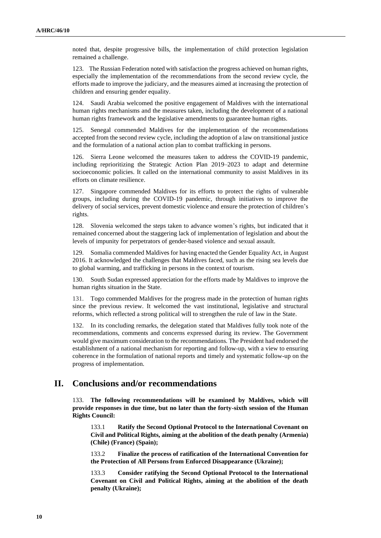noted that, despite progressive bills, the implementation of child protection legislation remained a challenge.

123. The Russian Federation noted with satisfaction the progress achieved on human rights, especially the implementation of the recommendations from the second review cycle, the efforts made to improve the judiciary, and the measures aimed at increasing the protection of children and ensuring gender equality.

124. Saudi Arabia welcomed the positive engagement of Maldives with the international human rights mechanisms and the measures taken, including the development of a national human rights framework and the legislative amendments to guarantee human rights.

125. Senegal commended Maldives for the implementation of the recommendations accepted from the second review cycle, including the adoption of a law on transitional justice and the formulation of a national action plan to combat trafficking in persons.

126. Sierra Leone welcomed the measures taken to address the COVID-19 pandemic, including reprioritizing the Strategic Action Plan 2019–2023 to adapt and determine socioeconomic policies. It called on the international community to assist Maldives in its efforts on climate resilience.

127. Singapore commended Maldives for its efforts to protect the rights of vulnerable groups, including during the COVID-19 pandemic, through initiatives to improve the delivery of social services, prevent domestic violence and ensure the protection of children's rights.

128. Slovenia welcomed the steps taken to advance women's rights, but indicated that it remained concerned about the staggering lack of implementation of legislation and about the levels of impunity for perpetrators of gender-based violence and sexual assault.

129. Somalia commended Maldives for having enacted the Gender Equality Act, in August 2016. It acknowledged the challenges that Maldives faced, such as the rising sea levels due to global warming, and trafficking in persons in the context of tourism.

South Sudan expressed appreciation for the efforts made by Maldives to improve the human rights situation in the State.

131. Togo commended Maldives for the progress made in the protection of human rights since the previous review. It welcomed the vast institutional, legislative and structural reforms, which reflected a strong political will to strengthen the rule of law in the State.

132. In its concluding remarks, the delegation stated that Maldives fully took note of the recommendations, comments and concerns expressed during its review. The Government would give maximum consideration to the recommendations. The President had endorsed the establishment of a national mechanism for reporting and follow-up, with a view to ensuring coherence in the formulation of national reports and timely and systematic follow-up on the progress of implementation.

### **II. Conclusions and/or recommendations**

133. **The following recommendations will be examined by Maldives, which will provide responses in due time, but no later than the forty-sixth session of the Human Rights Council:**

133.1 **Ratify the Second Optional Protocol to the International Covenant on Civil and Political Rights, aiming at the abolition of the death penalty (Armenia) (Chile) (France) (Spain);**

133.2 **Finalize the process of ratification of the International Convention for the Protection of All Persons from Enforced Disappearance (Ukraine);**

133.3 **Consider ratifying the Second Optional Protocol to the International Covenant on Civil and Political Rights, aiming at the abolition of the death penalty (Ukraine);**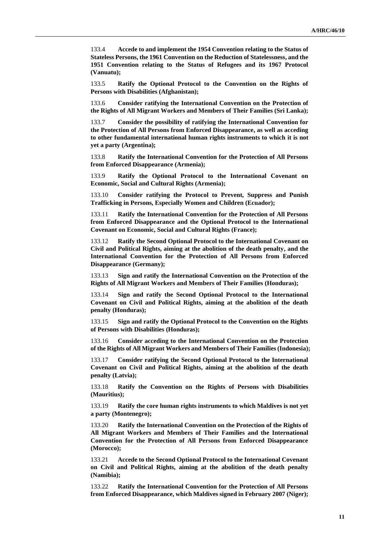133.4 **Accede to and implement the 1954 Convention relating to the Status of Stateless Persons, the 1961 Convention on the Reduction of Statelessness, and the 1951 Convention relating to the Status of Refugees and its 1967 Protocol (Vanuatu);**

133.5 **Ratify the Optional Protocol to the Convention on the Rights of Persons with Disabilities (Afghanistan);**

133.6 **Consider ratifying the International Convention on the Protection of the Rights of All Migrant Workers and Members of Their Families (Sri Lanka);**

133.7 **Consider the possibility of ratifying the International Convention for the Protection of All Persons from Enforced Disappearance, as well as acceding to other fundamental international human rights instruments to which it is not yet a party (Argentina);**

133.8 **Ratify the International Convention for the Protection of All Persons from Enforced Disappearance (Armenia);**

133.9 **Ratify the Optional Protocol to the International Covenant on Economic, Social and Cultural Rights (Armenia);**

133.10 **Consider ratifying the Protocol to Prevent, Suppress and Punish Trafficking in Persons, Especially Women and Children (Ecuador);**

133.11 **Ratify the International Convention for the Protection of All Persons from Enforced Disappearance and the Optional Protocol to the International Covenant on Economic, Social and Cultural Rights (France);**

133.12 **Ratify the Second Optional Protocol to the International Covenant on Civil and Political Rights, aiming at the abolition of the death penalty, and the International Convention for the Protection of All Persons from Enforced Disappearance (Germany);**

133.13 **Sign and ratify the International Convention on the Protection of the Rights of All Migrant Workers and Members of Their Families (Honduras);**

133.14 **Sign and ratify the Second Optional Protocol to the International Covenant on Civil and Political Rights, aiming at the abolition of the death penalty (Honduras);**

133.15 **Sign and ratify the Optional Protocol to the Convention on the Rights of Persons with Disabilities (Honduras);**

133.16 **Consider acceding to the International Convention on the Protection of the Rights of All Migrant Workers and Members of Their Families(Indonesia);**

133.17 **Consider ratifying the Second Optional Protocol to the International Covenant on Civil and Political Rights, aiming at the abolition of the death penalty (Latvia);**

133.18 **Ratify the Convention on the Rights of Persons with Disabilities (Mauritius);**

133.19 **Ratify the core human rights instruments to which Maldives is not yet a party (Montenegro);**

133.20 **Ratify the International Convention on the Protection of the Rights of All Migrant Workers and Members of Their Families and the International Convention for the Protection of All Persons from Enforced Disappearance (Morocco);**

133.21 **Accede to the Second Optional Protocol to the International Covenant on Civil and Political Rights, aiming at the abolition of the death penalty (Namibia);**

133.22 **Ratify the International Convention for the Protection of All Persons from Enforced Disappearance, which Maldives signed in February 2007 (Niger);**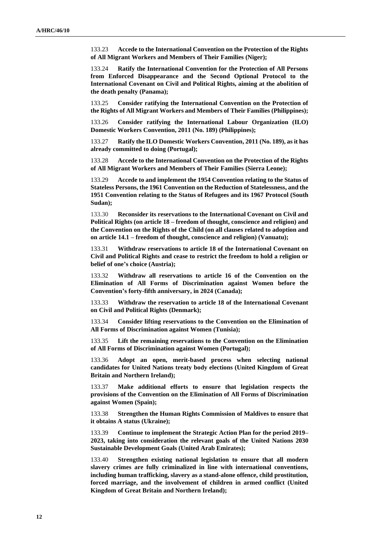133.23 **Accede to the International Convention on the Protection of the Rights of All Migrant Workers and Members of Their Families (Niger);**

133.24 **Ratify the International Convention for the Protection of All Persons from Enforced Disappearance and the Second Optional Protocol to the International Covenant on Civil and Political Rights, aiming at the abolition of the death penalty (Panama);**

133.25 **Consider ratifying the International Convention on the Protection of the Rights of All Migrant Workers and Members of Their Families (Philippines);**

133.26 **Consider ratifying the International Labour Organization (ILO) Domestic Workers Convention, 2011 (No. 189) (Philippines);**

133.27 **Ratify the ILO Domestic Workers Convention, 2011 (No. 189), as it has already committed to doing (Portugal);**

133.28 **Accede to the International Convention on the Protection of the Rights of All Migrant Workers and Members of Their Families (Sierra Leone);**

133.29 **Accede to and implement the 1954 Convention relating to the Status of Stateless Persons, the 1961 Convention on the Reduction of Statelessness, and the 1951 Convention relating to the Status of Refugees and its 1967 Protocol (South Sudan);**

133.30 **Reconsider its reservations to the International Covenant on Civil and Political Rights (on article 18 – freedom of thought, conscience and religion) and the Convention on the Rights of the Child (on all clauses related to adoption and on article 14.1 – freedom of thought, conscience and religion) (Vanuatu);**

133.31 **Withdraw reservations to article 18 of the International Covenant on Civil and Political Rights and cease to restrict the freedom to hold a religion or belief of one's choice (Austria);**

133.32 **Withdraw all reservations to article 16 of the Convention on the Elimination of All Forms of Discrimination against Women before the Convention's forty-fifth anniversary, in 2024 (Canada);**

133.33 **Withdraw the reservation to article 18 of the International Covenant on Civil and Political Rights (Denmark);**

133.34 **Consider lifting reservations to the Convention on the Elimination of All Forms of Discrimination against Women (Tunisia);**

133.35 **Lift the remaining reservations to the Convention on the Elimination of All Forms of Discrimination against Women (Portugal);**

133.36 **Adopt an open, merit-based process when selecting national candidates for United Nations treaty body elections (United Kingdom of Great Britain and Northern Ireland);**

133.37 **Make additional efforts to ensure that legislation respects the provisions of the Convention on the Elimination of All Forms of Discrimination against Women (Spain);**

133.38 **Strengthen the Human Rights Commission of Maldives to ensure that it obtains A status (Ukraine);**

133.39 **Continue to implement the Strategic Action Plan for the period 2019– 2023, taking into consideration the relevant goals of the United Nations 2030 Sustainable Development Goals (United Arab Emirates);**

133.40 **Strengthen existing national legislation to ensure that all modern slavery crimes are fully criminalized in line with international conventions, including human trafficking, slavery as a stand-alone offence, child prostitution, forced marriage, and the involvement of children in armed conflict (United Kingdom of Great Britain and Northern Ireland);**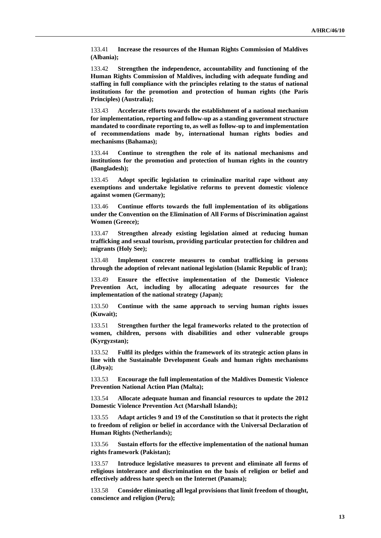133.41 **Increase the resources of the Human Rights Commission of Maldives (Albania);**

133.42 **Strengthen the independence, accountability and functioning of the Human Rights Commission of Maldives, including with adequate funding and staffing in full compliance with the principles relating to the status of national institutions for the promotion and protection of human rights (the Paris Principles) (Australia);**

133.43 **Accelerate efforts towards the establishment of a national mechanism for implementation, reporting and follow-up as a standing government structure mandated to coordinate reporting to, as well as follow-up to and implementation of recommendations made by, international human rights bodies and mechanisms (Bahamas);**

133.44 **Continue to strengthen the role of its national mechanisms and institutions for the promotion and protection of human rights in the country (Bangladesh);**

133.45 **Adopt specific legislation to criminalize marital rape without any exemptions and undertake legislative reforms to prevent domestic violence against women (Germany);**

133.46 **Continue efforts towards the full implementation of its obligations under the Convention on the Elimination of All Forms of Discrimination against Women (Greece);**

133.47 **Strengthen already existing legislation aimed at reducing human trafficking and sexual tourism, providing particular protection for children and migrants (Holy See);**

133.48 **Implement concrete measures to combat trafficking in persons through the adoption of relevant national legislation (Islamic Republic of Iran);**

133.49 **Ensure the effective implementation of the Domestic Violence Prevention Act, including by allocating adequate resources for the implementation of the national strategy (Japan);**

133.50 **Continue with the same approach to serving human rights issues (Kuwait);**

133.51 **Strengthen further the legal frameworks related to the protection of women, children, persons with disabilities and other vulnerable groups (Kyrgyzstan);**

133.52 **Fulfil its pledges within the framework of its strategic action plans in line with the Sustainable Development Goals and human rights mechanisms (Libya);**

133.53 **Encourage the full implementation of the Maldives Domestic Violence Prevention National Action Plan (Malta);**

133.54 **Allocate adequate human and financial resources to update the 2012 Domestic Violence Prevention Act (Marshall Islands);**

133.55 **Adapt articles 9 and 19 of the Constitution so that it protects the right to freedom of religion or belief in accordance with the Universal Declaration of Human Rights (Netherlands);**

133.56 **Sustain efforts for the effective implementation of the national human rights framework (Pakistan);**

133.57 **Introduce legislative measures to prevent and eliminate all forms of religious intolerance and discrimination on the basis of religion or belief and effectively address hate speech on the Internet (Panama);**

133.58 **Consider eliminating all legal provisions that limit freedom of thought, conscience and religion (Peru);**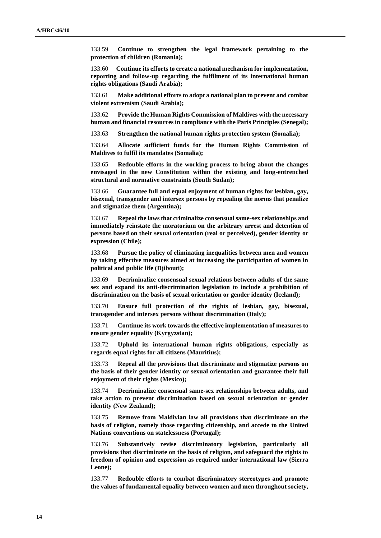133.59 **Continue to strengthen the legal framework pertaining to the protection of children (Romania);**

133.60 **Continue its efforts to create a national mechanism for implementation, reporting and follow-up regarding the fulfilment of its international human rights obligations (Saudi Arabia);**

133.61 **Make additional effortsto adopt a national plan to prevent and combat violent extremism (Saudi Arabia);**

133.62 **Provide the Human Rights Commission of Maldives with the necessary human and financial resources in compliance with the Paris Principles (Senegal);**

133.63 **Strengthen the national human rights protection system (Somalia);**

133.64 **Allocate sufficient funds for the Human Rights Commission of Maldives to fulfil its mandates (Somalia);**

133.65 **Redouble efforts in the working process to bring about the changes envisaged in the new Constitution within the existing and long-entrenched structural and normative constraints (South Sudan);**

133.66 **Guarantee full and equal enjoyment of human rights for lesbian, gay, bisexual, transgender and intersex persons by repealing the norms that penalize and stigmatize them (Argentina);**

133.67 **Repeal the laws that criminalize consensual same-sex relationships and immediately reinstate the moratorium on the arbitrary arrest and detention of persons based on their sexual orientation (real or perceived), gender identity or expression (Chile);**

133.68 **Pursue the policy of eliminating inequalities between men and women by taking effective measures aimed at increasing the participation of women in political and public life (Djibouti);**

133.69 **Decriminalize consensual sexual relations between adults of the same sex and expand its anti-discrimination legislation to include a prohibition of discrimination on the basis of sexual orientation or gender identity (Iceland);**

133.70 **Ensure full protection of the rights of lesbian, gay, bisexual, transgender and intersex persons without discrimination (Italy);**

133.71 **Continue its work towards the effective implementation of measures to ensure gender equality (Kyrgyzstan);**

133.72 **Uphold its international human rights obligations, especially as regards equal rights for all citizens (Mauritius);**

133.73 **Repeal all the provisions that discriminate and stigmatize persons on the basis of their gender identity or sexual orientation and guarantee their full enjoyment of their rights (Mexico);**

133.74 **Decriminalize consensual same-sex relationships between adults, and take action to prevent discrimination based on sexual orientation or gender identity (New Zealand);**

133.75 **Remove from Maldivian law all provisions that discriminate on the basis of religion, namely those regarding citizenship, and accede to the United Nations conventions on statelessness (Portugal);**

133.76 **Substantively revise discriminatory legislation, particularly all provisions that discriminate on the basis of religion, and safeguard the rights to freedom of opinion and expression as required under international law (Sierra Leone);**

133.77 **Redouble efforts to combat discriminatory stereotypes and promote the values of fundamental equality between women and men throughout society,**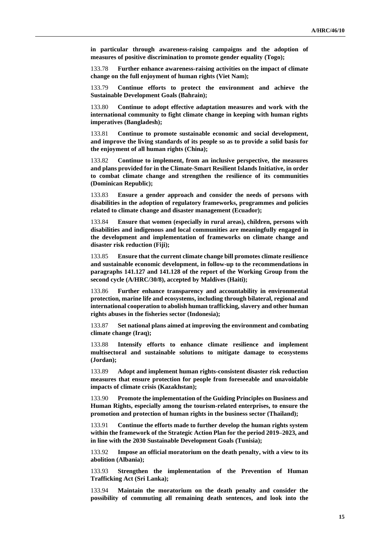**in particular through awareness-raising campaigns and the adoption of measures of positive discrimination to promote gender equality (Togo);**

133.78 **Further enhance awareness-raising activities on the impact of climate change on the full enjoyment of human rights (Viet Nam);**

133.79 **Continue efforts to protect the environment and achieve the Sustainable Development Goals (Bahrain);**

133.80 **Continue to adopt effective adaptation measures and work with the international community to fight climate change in keeping with human rights imperatives (Bangladesh);**

133.81 **Continue to promote sustainable economic and social development, and improve the living standards of its people so as to provide a solid basis for the enjoyment of all human rights (China);**

133.82 **Continue to implement, from an inclusive perspective, the measures and plans provided for in the Climate-Smart Resilient Islands Initiative, in order to combat climate change and strengthen the resilience of its communities (Dominican Republic);**

133.83 **Ensure a gender approach and consider the needs of persons with disabilities in the adoption of regulatory frameworks, programmes and policies related to climate change and disaster management (Ecuador);**

133.84 **Ensure that women (especially in rural areas), children, persons with disabilities and indigenous and local communities are meaningfully engaged in the development and implementation of frameworks on climate change and disaster risk reduction (Fiji);**

133.85 **Ensure that the current climate change bill promotes climate resilience and sustainable economic development, in follow-up to the recommendations in paragraphs 141.127 and 141.128 of the report of the Working Group from the second cycle (A/HRC/30/8), accepted by Maldives (Haiti);**

133.86 **Further enhance transparency and accountability in environmental protection, marine life and ecosystems, including through bilateral, regional and international cooperation to abolish human trafficking, slavery and other human rights abuses in the fisheries sector (Indonesia);**

133.87 **Set national plans aimed at improving the environment and combating climate change (Iraq);**

133.88 **Intensify efforts to enhance climate resilience and implement multisectoral and sustainable solutions to mitigate damage to ecosystems (Jordan);**

133.89 **Adopt and implement human rights-consistent disaster risk reduction measures that ensure protection for people from foreseeable and unavoidable impacts of climate crisis (Kazakhstan);**

133.90 **Promote the implementation of the Guiding Principles on Business and Human Rights, especially among the tourism-related enterprises, to ensure the promotion and protection of human rights in the business sector (Thailand);**

133.91 **Continue the efforts made to further develop the human rights system within the framework of the Strategic Action Plan for the period 2019–2023, and in line with the 2030 Sustainable Development Goals (Tunisia);**

133.92 **Impose an official moratorium on the death penalty, with a view to its abolition (Albania);**

133.93 **Strengthen the implementation of the Prevention of Human Trafficking Act (Sri Lanka);**

133.94 **Maintain the moratorium on the death penalty and consider the possibility of commuting all remaining death sentences, and look into the**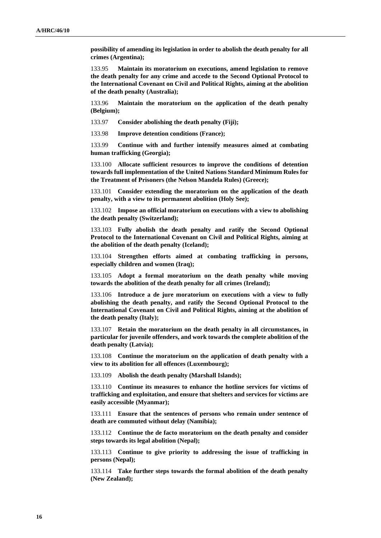**possibility of amending its legislation in order to abolish the death penalty for all crimes (Argentina);**

133.95 **Maintain its moratorium on executions, amend legislation to remove the death penalty for any crime and accede to the Second Optional Protocol to the International Covenant on Civil and Political Rights, aiming at the abolition of the death penalty (Australia);**

133.96 **Maintain the moratorium on the application of the death penalty (Belgium);**

133.97 **Consider abolishing the death penalty (Fiji);**

133.98 **Improve detention conditions (France);** 

133.99 **Continue with and further intensify measures aimed at combating human trafficking (Georgia);**

133.100 **Allocate sufficient resources to improve the conditions of detention towards full implementation of the United Nations Standard Minimum Rules for the Treatment of Prisoners (the Nelson Mandela Rules) (Greece);**

133.101 **Consider extending the moratorium on the application of the death penalty, with a view to its permanent abolition (Holy See);**

133.102 **Impose an official moratorium on executions with a view to abolishing the death penalty (Switzerland);**

133.103 **Fully abolish the death penalty and ratify the Second Optional Protocol to the International Covenant on Civil and Political Rights, aiming at the abolition of the death penalty (Iceland);**

133.104 **Strengthen efforts aimed at combating trafficking in persons, especially children and women (Iraq);**

133.105 **Adopt a formal moratorium on the death penalty while moving towards the abolition of the death penalty for all crimes (Ireland);**

133.106 **Introduce a de jure moratorium on executions with a view to fully abolishing the death penalty, and ratify the Second Optional Protocol to the International Covenant on Civil and Political Rights, aiming at the abolition of the death penalty (Italy);**

133.107 **Retain the moratorium on the death penalty in all circumstances, in particular for juvenile offenders, and work towards the complete abolition of the death penalty (Latvia);**

133.108 **Continue the moratorium on the application of death penalty with a view to its abolition for all offences (Luxembourg);**

133.109 **Abolish the death penalty (Marshall Islands);**

133.110 **Continue its measures to enhance the hotline services for victims of trafficking and exploitation, and ensure that shelters and services for victims are easily accessible (Myanmar);**

133.111 **Ensure that the sentences of persons who remain under sentence of death are commuted without delay (Namibia);**

133.112 **Continue the de facto moratorium on the death penalty and consider steps towards its legal abolition (Nepal);**

133.113 **Continue to give priority to addressing the issue of trafficking in persons (Nepal);**

133.114 **Take further steps towards the formal abolition of the death penalty (New Zealand);**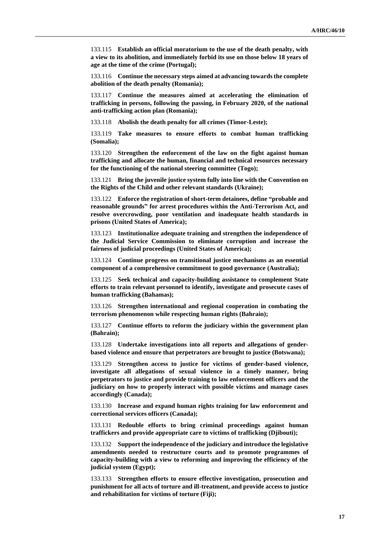133.115 **Establish an official moratorium to the use of the death penalty, with a view to its abolition, and immediately forbid its use on those below 18 years of age at the time of the crime (Portugal);**

133.116 **Continue the necessary steps aimed at advancing towards the complete abolition of the death penalty (Romania);**

133.117 **Continue the measures aimed at accelerating the elimination of trafficking in persons, following the passing, in February 2020, of the national anti-trafficking action plan (Romania);**

133.118 **Abolish the death penalty for all crimes (Timor-Leste);**

133.119 **Take measures to ensure efforts to combat human trafficking (Somalia);**

133.120 **Strengthen the enforcement of the law on the fight against human trafficking and allocate the human, financial and technical resources necessary for the functioning of the national steering committee (Togo);**

133.121 **Bring the juvenile justice system fully into line with the Convention on the Rights of the Child and other relevant standards (Ukraine);**

133.122 **Enforce the registration of short-term detainees, define "probable and reasonable grounds" for arrest procedures within the Anti-Terrorism Act, and resolve overcrowding, poor ventilation and inadequate health standards in prisons (United States of America);**

133.123 **Institutionalize adequate training and strengthen the independence of the Judicial Service Commission to eliminate corruption and increase the fairness of judicial proceedings (United States of America);**

133.124 **Continue progress on transitional justice mechanisms as an essential component of a comprehensive commitment to good governance (Australia);**

133.125 **Seek technical and capacity-building assistance to complement State efforts to train relevant personnel to identify, investigate and prosecute cases of human trafficking (Bahamas);**

133.126 **Strengthen international and regional cooperation in combating the terrorism phenomenon while respecting human rights (Bahrain);**

133.127 **Continue efforts to reform the judiciary within the government plan (Bahrain);**

133.128 **Undertake investigations into all reports and allegations of genderbased violence and ensure that perpetrators are brought to justice (Botswana);**

133.129 **Strengthen access to justice for victims of gender-based violence, investigate all allegations of sexual violence in a timely manner, bring perpetrators to justice and provide training to law enforcement officers and the judiciary on how to properly interact with possible victims and manage cases accordingly (Canada);**

133.130 **Increase and expand human rights training for law enforcement and correctional services officers (Canada);**

133.131 **Redouble efforts to bring criminal proceedings against human traffickers and provide appropriate care to victims of trafficking (Djibouti);**

133.132 **Support the independence of the judiciary and introduce the legislative amendments needed to restructure courts and to promote programmes of capacity-building with a view to reforming and improving the efficiency of the judicial system (Egypt);**

133.133 **Strengthen efforts to ensure effective investigation, prosecution and punishment for all acts of torture and ill-treatment, and provide access to justice and rehabilitation for victims of torture (Fiji);**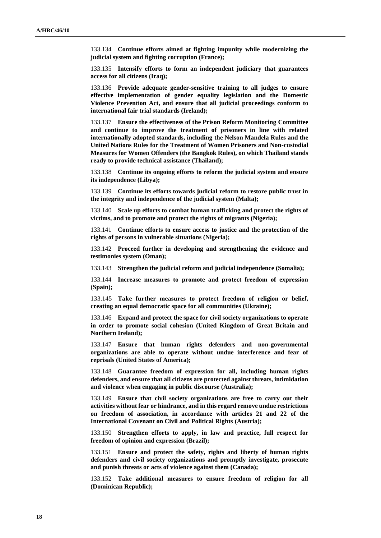133.134 **Continue efforts aimed at fighting impunity while modernizing the judicial system and fighting corruption (France);**

133.135 **Intensify efforts to form an independent judiciary that guarantees access for all citizens (Iraq);**

133.136 **Provide adequate gender-sensitive training to all judges to ensure effective implementation of gender equality legislation and the Domestic Violence Prevention Act, and ensure that all judicial proceedings conform to international fair trial standards (Ireland);**

133.137 **Ensure the effectiveness of the Prison Reform Monitoring Committee and continue to improve the treatment of prisoners in line with related internationally adopted standards, including the Nelson Mandela Rules and the United Nations Rules for the Treatment of Women Prisoners and Non-custodial Measures for Women Offenders (the Bangkok Rules), on which Thailand stands ready to provide technical assistance (Thailand);**

133.138 **Continue its ongoing efforts to reform the judicial system and ensure its independence (Libya);**

133.139 **Continue its efforts towards judicial reform to restore public trust in the integrity and independence of the judicial system (Malta);**

133.140 **Scale up efforts to combat human trafficking and protect the rights of victims, and to promote and protect the rights of migrants (Nigeria);**

133.141 **Continue efforts to ensure access to justice and the protection of the rights of persons in vulnerable situations (Nigeria);**

133.142 **Proceed further in developing and strengthening the evidence and testimonies system (Oman);**

133.143 **Strengthen the judicial reform and judicial independence (Somalia);**

133.144 **Increase measures to promote and protect freedom of expression (Spain);**

133.145 **Take further measures to protect freedom of religion or belief, creating an equal democratic space for all communities (Ukraine);**

133.146 **Expand and protect the space for civil society organizations to operate in order to promote social cohesion (United Kingdom of Great Britain and Northern Ireland);**

133.147 **Ensure that human rights defenders and non-governmental organizations are able to operate without undue interference and fear of reprisals (United States of America);**

133.148 **Guarantee freedom of expression for all, including human rights defenders, and ensure that all citizens are protected against threats, intimidation and violence when engaging in public discourse (Australia);**

133.149 **Ensure that civil society organizations are free to carry out their activities without fear or hindrance, and in this regard remove undue restrictions on freedom of association, in accordance with articles 21 and 22 of the International Covenant on Civil and Political Rights (Austria);**

133.150 **Strengthen efforts to apply, in law and practice, full respect for freedom of opinion and expression (Brazil);**

133.151 **Ensure and protect the safety, rights and liberty of human rights defenders and civil society organizations and promptly investigate, prosecute and punish threats or acts of violence against them (Canada);**

133.152 **Take additional measures to ensure freedom of religion for all (Dominican Republic);**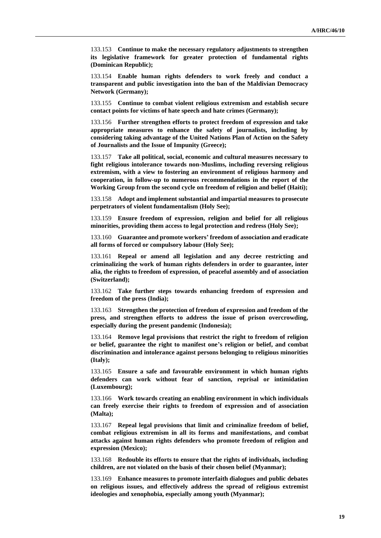133.153 **Continue to make the necessary regulatory adjustments to strengthen its legislative framework for greater protection of fundamental rights (Dominican Republic);**

133.154 **Enable human rights defenders to work freely and conduct a transparent and public investigation into the ban of the Maldivian Democracy Network (Germany);**

133.155 **Continue to combat violent religious extremism and establish secure contact points for victims of hate speech and hate crimes (Germany);**

133.156 **Further strengthen efforts to protect freedom of expression and take appropriate measures to enhance the safety of journalists, including by considering taking advantage of the United Nations Plan of Action on the Safety of Journalists and the Issue of Impunity (Greece);**

133.157 **Take all political, social, economic and cultural measures necessary to fight religious intolerance towards non-Muslims, including reversing religious extremism, with a view to fostering an environment of religious harmony and cooperation, in follow-up to numerous recommendations in the report of the Working Group from the second cycle on freedom of religion and belief (Haiti);**

133.158 **Adopt and implement substantial and impartial measures to prosecute perpetrators of violent fundamentalism (Holy See);**

133.159 **Ensure freedom of expression, religion and belief for all religious minorities, providing them access to legal protection and redress (Holy See);**

133.160 **Guarantee and promote workers' freedom of association and eradicate all forms of forced or compulsory labour (Holy See);**

133.161 **Repeal or amend all legislation and any decree restricting and criminalizing the work of human rights defenders in order to guarantee, inter alia, the rights to freedom of expression, of peaceful assembly and of association (Switzerland);**

133.162 **Take further steps towards enhancing freedom of expression and freedom of the press (India);**

133.163 **Strengthen the protection of freedom of expression and freedom of the press, and strengthen efforts to address the issue of prison overcrowding, especially during the present pandemic (Indonesia);**

133.164 **Remove legal provisions that restrict the right to freedom of religion or belief, guarantee the right to manifest one's religion or belief, and combat discrimination and intolerance against persons belonging to religious minorities (Italy);**

133.165 **Ensure a safe and favourable environment in which human rights defenders can work without fear of sanction, reprisal or intimidation (Luxembourg);**

133.166 **Work towards creating an enabling environment in which individuals can freely exercise their rights to freedom of expression and of association (Malta);**

133.167 **Repeal legal provisions that limit and criminalize freedom of belief, combat religious extremism in all its forms and manifestations, and combat attacks against human rights defenders who promote freedom of religion and expression (Mexico);**

133.168 **Redouble its efforts to ensure that the rights of individuals, including children, are not violated on the basis of their chosen belief (Myanmar);**

133.169 **Enhance measures to promote interfaith dialogues and public debates on religious issues, and effectively address the spread of religious extremist ideologies and xenophobia, especially among youth (Myanmar);**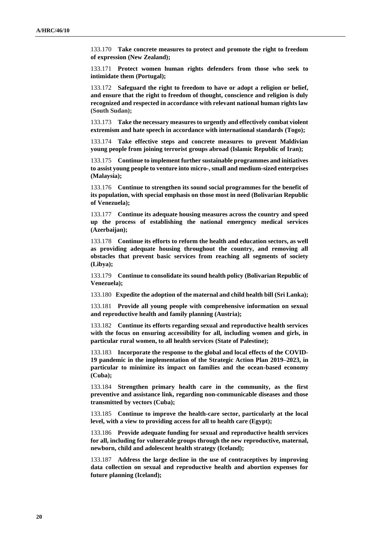133.170 **Take concrete measures to protect and promote the right to freedom of expression (New Zealand);**

133.171 **Protect women human rights defenders from those who seek to intimidate them (Portugal);**

133.172 **Safeguard the right to freedom to have or adopt a religion or belief, and ensure that the right to freedom of thought, conscience and religion is duly recognized and respected in accordance with relevant national human rights law (South Sudan);**

133.173 **Take the necessary measures to urgently and effectively combat violent extremism and hate speech in accordance with international standards (Togo);**

133.174 **Take effective steps and concrete measures to prevent Maldivian young people from joining terrorist groups abroad (Islamic Republic of Iran);**

133.175 **Continue to implement further sustainable programmes and initiatives to assist young people to venture into micro-, small and medium-sized enterprises (Malaysia);**

133.176 **Continue to strengthen its sound social programmes for the benefit of its population, with special emphasis on those most in need (Bolivarian Republic of Venezuela);**

133.177 **Continue its adequate housing measures across the country and speed up the process of establishing the national emergency medical services (Azerbaijan);**

133.178 **Continue its efforts to reform the health and education sectors, as well as providing adequate housing throughout the country, and removing all obstacles that prevent basic services from reaching all segments of society (Libya);**

133.179 **Continue to consolidate its sound health policy (Bolivarian Republic of Venezuela);**

133.180 **Expedite the adoption of the maternal and child health bill (Sri Lanka);**

133.181 **Provide all young people with comprehensive information on sexual and reproductive health and family planning (Austria);**

133.182 **Continue its efforts regarding sexual and reproductive health services with the focus on ensuring accessibility for all, including women and girls, in particular rural women, to all health services (State of Palestine);**

133.183 **Incorporate the response to the global and local effects of the COVID-19 pandemic in the implementation of the Strategic Action Plan 2019–2023, in particular to minimize its impact on families and the ocean-based economy (Cuba);**

133.184 **Strengthen primary health care in the community, as the first preventive and assistance link, regarding non-communicable diseases and those transmitted by vectors (Cuba);**

133.185 **Continue to improve the health-care sector, particularly at the local level, with a view to providing access for all to health care (Egypt);**

133.186 **Provide adequate funding for sexual and reproductive health services for all, including for vulnerable groups through the new reproductive, maternal, newborn, child and adolescent health strategy (Iceland);**

133.187 **Address the large decline in the use of contraceptives by improving data collection on sexual and reproductive health and abortion expenses for future planning (Iceland);**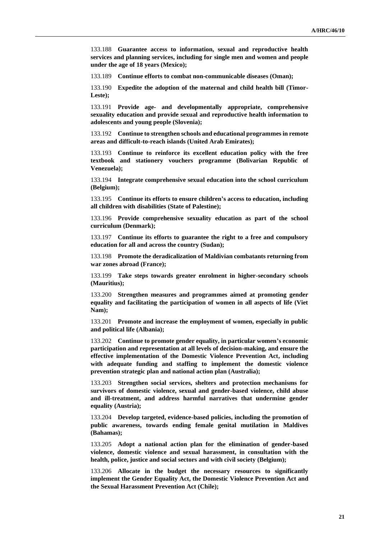133.188 **Guarantee access to information, sexual and reproductive health services and planning services, including for single men and women and people under the age of 18 years (Mexico);**

133.189 **Continue efforts to combat non-communicable diseases (Oman);**

133.190 **Expedite the adoption of the maternal and child health bill (Timor-Leste);**

133.191 **Provide age- and developmentally appropriate, comprehensive sexuality education and provide sexual and reproductive health information to adolescents and young people (Slovenia);**

133.192 **Continue to strengthen schools and educational programmes in remote areas and difficult-to-reach islands (United Arab Emirates);**

133.193 **Continue to reinforce its excellent education policy with the free textbook and stationery vouchers programme (Bolivarian Republic of Venezuela);**

133.194 **Integrate comprehensive sexual education into the school curriculum (Belgium);**

133.195 **Continue its efforts to ensure children's access to education, including all children with disabilities (State of Palestine);**

133.196 **Provide comprehensive sexuality education as part of the school curriculum (Denmark);**

133.197 **Continue its efforts to guarantee the right to a free and compulsory education for all and across the country (Sudan);**

133.198 **Promote the deradicalization of Maldivian combatants returning from war zones abroad (France);**

133.199 **Take steps towards greater enrolment in higher-secondary schools (Mauritius);**

133.200 **Strengthen measures and programmes aimed at promoting gender equality and facilitating the participation of women in all aspects of life (Viet Nam);**

133.201 **Promote and increase the employment of women, especially in public and political life (Albania);**

133.202 **Continue to promote gender equality, in particular women's economic participation and representation at all levels of decision-making, and ensure the effective implementation of the Domestic Violence Prevention Act, including with adequate funding and staffing to implement the domestic violence prevention strategic plan and national action plan (Australia);**

133.203 **Strengthen social services, shelters and protection mechanisms for survivors of domestic violence, sexual and gender-based violence, child abuse and ill-treatment, and address harmful narratives that undermine gender equality (Austria);**

133.204 **Develop targeted, evidence-based policies, including the promotion of public awareness, towards ending female genital mutilation in Maldives (Bahamas);**

133.205 **Adopt a national action plan for the elimination of gender-based violence, domestic violence and sexual harassment, in consultation with the health, police, justice and social sectors and with civil society (Belgium);**

133.206 **Allocate in the budget the necessary resources to significantly implement the Gender Equality Act, the Domestic Violence Prevention Act and the Sexual Harassment Prevention Act (Chile);**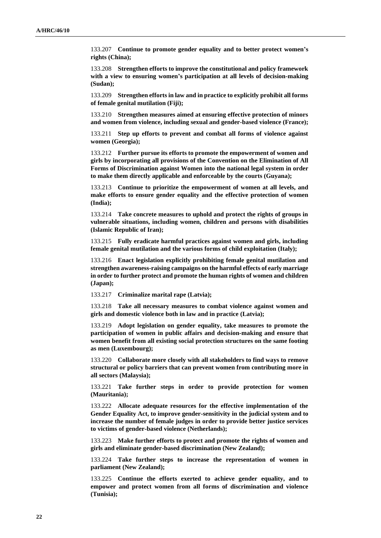133.207 **Continue to promote gender equality and to better protect women's rights (China);**

133.208 **Strengthen efforts to improve the constitutional and policy framework with a view to ensuring women's participation at all levels of decision-making (Sudan);**

133.209 **Strengthen efforts in law and in practice to explicitly prohibit all forms of female genital mutilation (Fiji);**

133.210 **Strengthen measures aimed at ensuring effective protection of minors and women from violence, including sexual and gender-based violence (France);**

133.211 **Step up efforts to prevent and combat all forms of violence against women (Georgia);**

133.212 **Further pursue its efforts to promote the empowerment of women and girls by incorporating all provisions of the Convention on the Elimination of All Forms of Discrimination against Women into the national legal system in order to make them directly applicable and enforceable by the courts (Guyana);**

133.213 **Continue to prioritize the empowerment of women at all levels, and make efforts to ensure gender equality and the effective protection of women (India);**

133.214 **Take concrete measures to uphold and protect the rights of groups in vulnerable situations, including women, children and persons with disabilities (Islamic Republic of Iran);**

133.215 **Fully eradicate harmful practices against women and girls, including female genital mutilation and the various forms of child exploitation (Italy);**

133.216 **Enact legislation explicitly prohibiting female genital mutilation and strengthen awareness-raising campaigns on the harmful effects of early marriage in order to further protect and promote the human rights of women and children (Japan);**

133.217 **Criminalize marital rape (Latvia);**

133.218 **Take all necessary measures to combat violence against women and girls and domestic violence both in law and in practice (Latvia);**

133.219 **Adopt legislation on gender equality, take measures to promote the participation of women in public affairs and decision-making and ensure that women benefit from all existing social protection structures on the same footing as men (Luxembourg);**

133.220 **Collaborate more closely with all stakeholders to find ways to remove structural or policy barriers that can prevent women from contributing more in all sectors (Malaysia);**

133.221 **Take further steps in order to provide protection for women (Mauritania);**

133.222 **Allocate adequate resources for the effective implementation of the Gender Equality Act, to improve gender-sensitivity in the judicial system and to increase the number of female judges in order to provide better justice services to victims of gender-based violence (Netherlands);**

133.223 **Make further efforts to protect and promote the rights of women and girls and eliminate gender-based discrimination (New Zealand);**

133.224 **Take further steps to increase the representation of women in parliament (New Zealand);**

133.225 **Continue the efforts exerted to achieve gender equality, and to empower and protect women from all forms of discrimination and violence (Tunisia);**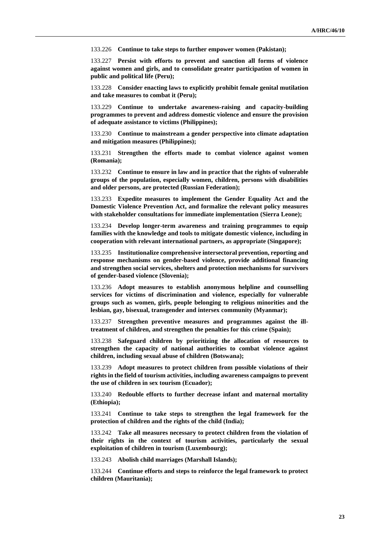133.226 **Continue to take steps to further empower women (Pakistan);**

133.227 **Persist with efforts to prevent and sanction all forms of violence against women and girls, and to consolidate greater participation of women in public and political life (Peru);**

133.228 **Consider enacting laws to explicitly prohibit female genital mutilation and take measures to combat it (Peru);**

133.229 **Continue to undertake awareness-raising and capacity-building programmes to prevent and address domestic violence and ensure the provision of adequate assistance to victims (Philippines);**

133.230 **Continue to mainstream a gender perspective into climate adaptation and mitigation measures (Philippines);**

133.231 **Strengthen the efforts made to combat violence against women (Romania);**

133.232 **Continue to ensure in law and in practice that the rights of vulnerable groups of the population, especially women, children, persons with disabilities and older persons, are protected (Russian Federation);**

133.233 **Expedite measures to implement the Gender Equality Act and the Domestic Violence Prevention Act, and formalize the relevant policy measures with stakeholder consultations for immediate implementation (Sierra Leone);**

133.234 **Develop longer-term awareness and training programmes to equip families with the knowledge and tools to mitigate domestic violence, including in cooperation with relevant international partners, as appropriate (Singapore);**

133.235 **Institutionalize comprehensive intersectoral prevention, reporting and response mechanisms on gender-based violence, provide additional financing and strengthen social services, shelters and protection mechanisms for survivors of gender-based violence (Slovenia);**

133.236 **Adopt measures to establish anonymous helpline and counselling services for victims of discrimination and violence, especially for vulnerable groups such as women, girls, people belonging to religious minorities and the lesbian, gay, bisexual, transgender and intersex community (Myanmar);**

133.237 **Strengthen preventive measures and programmes against the illtreatment of children, and strengthen the penalties for this crime (Spain);**

133.238 **Safeguard children by prioritizing the allocation of resources to strengthen the capacity of national authorities to combat violence against children, including sexual abuse of children (Botswana);**

133.239 **Adopt measures to protect children from possible violations of their rights in the field of tourism activities, including awareness campaigns to prevent the use of children in sex tourism (Ecuador);**

133.240 **Redouble efforts to further decrease infant and maternal mortality (Ethiopia);**

133.241 **Continue to take steps to strengthen the legal framework for the protection of children and the rights of the child (India);**

133.242 **Take all measures necessary to protect children from the violation of their rights in the context of tourism activities, particularly the sexual exploitation of children in tourism (Luxembourg);**

133.243 **Abolish child marriages (Marshall Islands);**

133.244 **Continue efforts and steps to reinforce the legal framework to protect children (Mauritania);**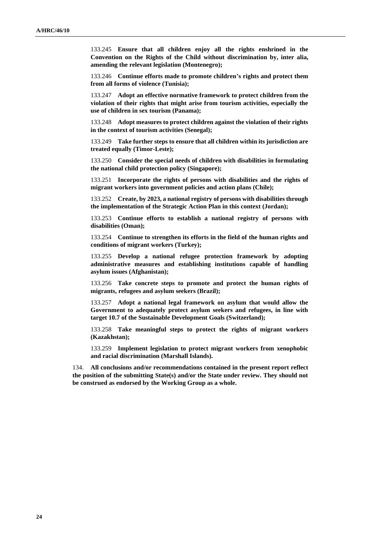133.245 **Ensure that all children enjoy all the rights enshrined in the Convention on the Rights of the Child without discrimination by, inter alia, amending the relevant legislation (Montenegro);**

133.246 **Continue efforts made to promote children's rights and protect them from all forms of violence (Tunisia);**

133.247 **Adopt an effective normative framework to protect children from the violation of their rights that might arise from tourism activities, especially the use of children in sex tourism (Panama);**

133.248 **Adopt measures to protect children against the violation of their rights in the context of tourism activities (Senegal);**

133.249 **Take further steps to ensure that all children within its jurisdiction are treated equally (Timor-Leste);**

133.250 **Consider the special needs of children with disabilities in formulating the national child protection policy (Singapore);**

133.251 **Incorporate the rights of persons with disabilities and the rights of migrant workers into government policies and action plans (Chile);**

133.252 **Create, by 2023, a national registry of persons with disabilities through the implementation of the Strategic Action Plan in this context (Jordan);**

133.253 **Continue efforts to establish a national registry of persons with disabilities (Oman);**

133.254 **Continue to strengthen its efforts in the field of the human rights and conditions of migrant workers (Turkey);**

133.255 **Develop a national refugee protection framework by adopting administrative measures and establishing institutions capable of handling asylum issues (Afghanistan);**

133.256 **Take concrete steps to promote and protect the human rights of migrants, refugees and asylum seekers (Brazil);**

133.257 **Adopt a national legal framework on asylum that would allow the Government to adequately protect asylum seekers and refugees, in line with target 10.7 of the Sustainable Development Goals (Switzerland);**

133.258 **Take meaningful steps to protect the rights of migrant workers (Kazakhstan);**

133.259 **Implement legislation to protect migrant workers from xenophobic and racial discrimination (Marshall Islands).**

134. **All conclusions and/or recommendations contained in the present report reflect the position of the submitting State(s) and/or the State under review. They should not be construed as endorsed by the Working Group as a whole.**